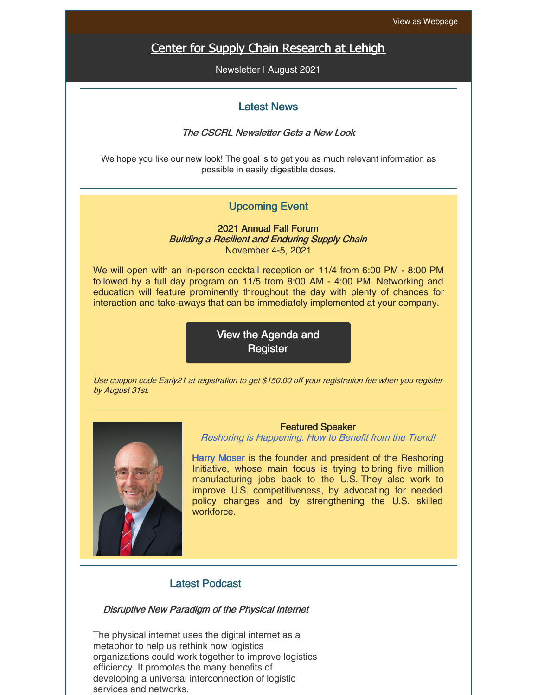# Center for Supply Chain [Research](https://business.lehigh.edu/centers/center-for-supply-chain-research-at-lehigh) at Lehigh

Newsletter | August 2021

### Latest News

#### The CSCRL Newsletter Gets a New Look

We hope you like our new look! The goal is to get you as much relevant information as possible in easily digestible doses.

### Upcoming Event

2021 Annual Fall Forum Building <sup>a</sup> Resilient and Enduring Supply Chain November 4-5, 2021

We will open with an in-person cocktail reception on 11/4 from 6:00 PM - 8:00 PM followed by a full day program on 11/5 from 8:00 AM - 4:00 PM. Networking and education will feature prominently throughout the day with plenty of chances for interaction and take-aways that can be immediately implemented at your company.

> View the Agenda and **[Register](https://business.lehigh.edu/centers/center-for-supply-chain-research-at-lehigh/upcoming-and-past-events/2021-cscrl-fall-forum)**

Use coupon code Early21 at registration to get \$150.00 off your registration fee when you register by August 31st.



Featured Speaker

Reshoring is [Happening.](https://business.lehigh.edu/sites/default/files/2021-08/Harry Moser Abstract.pdf) How to Benefit from the Trend!

Harry [Moser](https://business.lehigh.edu/sites/default/files/2021-08/Harry Moser Bio_0.pdf) is the founder and president of the Reshoring Initiative, whose main focus is trying to bring five million manufacturing jobs back to the U.S. They also work to improve U.S. competitiveness, by advocating for needed policy changes and by strengthening the U.S. skilled workforce.

### Latest Podcast

#### Disruptive New Paradigm of the Physical Internet

The physical internet uses the digital internet as a metaphor to help us rethink how logistics organizations could work together to improve logistics efficiency. It promotes the many benefits of developing a universal interconnection of logistic services and networks.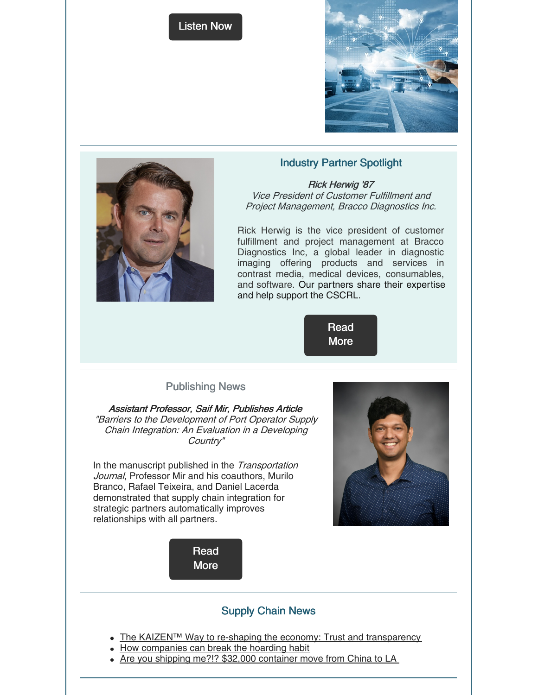





## Industry Partner Spotlight

Rick Herwig '87 Vice President of Customer Fulfillment and Project Management, Bracco Diagnostics Inc.

Rick Herwig is the vice president of customer fulfillment and project management at Bracco Diagnostics Inc, a global leader in diagnostic imaging offering products and services in contrast media, medical devices, consumables, and software. Our partners share their expertise and help support the CSCRL.

> [Read](https://business.lehigh.edu/sites/default/files/2021-08/Herwig bio_updated 2019.pdf) **More**

## Publishing News

Assistant Professor, Saif Mir, Publishes Article "Barriers to the Development of Port Operator Supply Chain Integration: An Evaluation in <sup>a</sup> Developing Country"

In the manuscript published in the Transportation Journal, Professor Mir and his coauthors, Murilo Branco, Rafael Teixeira, and Daniel Lacerda demonstrated that supply chain integration for strategic partners automatically improves relationships with all partners.





## Supply Chain News

- The KAIZEN™ Way to re-shaping the economy: Trust and [transparency](https://www.linkedin.com/pulse/kaizen-way-re-shaping-economy-3-trust-transparency-kaizen-institute/)
- How [companies](https://www.supplychain247.com/article/how_companies_can_break_the_hoarding_habit/?utm_source=SC247&utm_medium=email&utm_campaign=247_Education&oly_enc_id=7021D9677390I7R) can break the hoarding habit
- Are you shipping me?!? \$32,000 [container](https://www.freightwaves.com/news/are-you-shipping-me-32000-container-move-from-china-to-la) move from China to LA